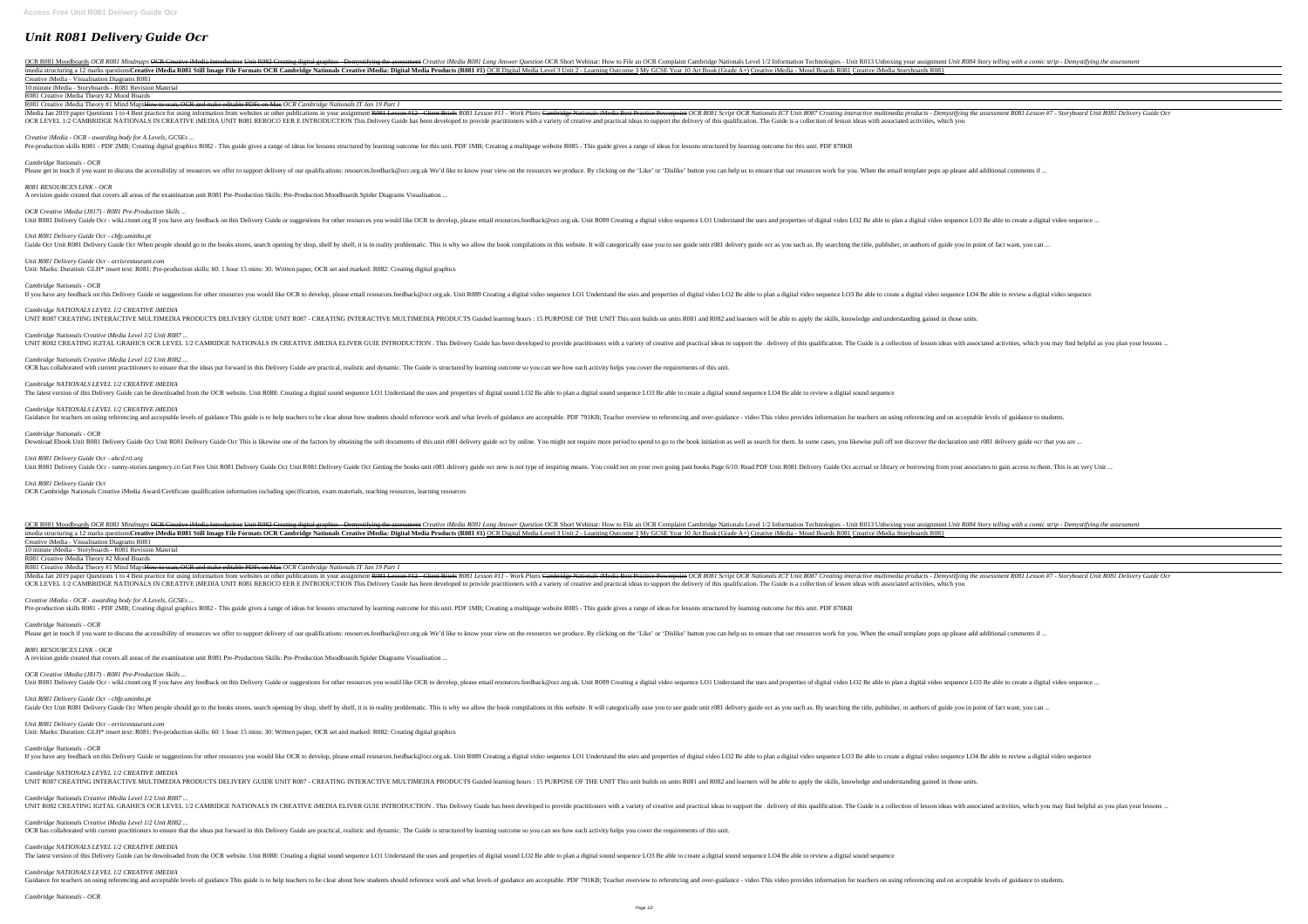# *Unit R081 Delivery Guide Ocr*

OCR R081 Moodboards OCR R081 Mindmaps <del>OCR Creative iMedia Introduction Unit R082 Creating digital graphics - Demystifying the assessment Creative iMedia R081 Long Answer Question OCR Short Webinar: How to File an OCR Comp</del> imedia structuring a 12 marks questionsCreative iMedia R081 Still Image File Formats OCR Cambridge Nationals Creative iMedia: Digital Media Level 3 Unit 2 - Learning Outcome 3 My GCSE Year 10 Art Book (Grade A+) Creative i Creative iMedia - Visualisation Diagrams R081

#### 10 minute iMedia - Storyboards - R081 Revision Material

R081 Creative iMedia Theory #2 Mood Boards R081 Creative iMedia Theory #1 Mind MapsHow to scan, OCR and make editable PDFs on Mac *OCR Cambridge Nationals IT Jan 19 Part 1*

iMedia Jan 2019 paper Questions 1 to 4 Best practice for using information from websites or other publications in your assignment R081 Lesson #12 - Client Briefs R081 Script OCR Nationals ICT Unit R087 Creating interactive OCR LEVEL 1/2 CAMBRIDGE NATIONALS IN CREATIVE iMEDIA UNIT R081 REROCO EER E INTRODUCTION This Delivery Guide has been developed to provide practitioners with a variety of creative and practical ideas to support the deliver

*Creative iMedia - OCR - awarding body for A Levels, GCSEs ...*

Pre-production skills R081 - PDF 2MB; Creating digital graphics R082 - This guide gives a range of ideas for lessons structured by learning outcome for this unit. PDF 1MB; Creating a multipage website R085 - This guide giv

*Cambridge NATIONALS LEVEL 1/2 CREATIVE iMEDIA* UNIT R087 CREATING INTERACTIVE MULTIMEDIA PRODUCTS DELIVERY GUIDE UNIT R087 - CREATING INTERACTIVE MULTIMEDIA PRODUCTS Guided learning hours : 15 PURPOSE OF THE UNIT This unit builds on units R081 and R082 and learners wil

# *Cambridge Nationals - OCR*

Please get in touch if you want to discuss the accessibility of resources we offer to support delivery of our qualifications: resources.feedback@ocr.org.uk We'd like to know your view on the resources we produce. By clicki

*Cambridge Nationals Creative iMedia Level 1/2 Unit R087 ...* UNIT R082 CREATING IGITAL GRAHICS OCR LEVEL 1/2 CAMRIDGE NATIONALS IN CREATIVE iMEDIA ELIVER GUIE INTRODUCTION . This Delivery Guide has been developed to provide practitioners with a variety of creative and practical idea

*Cambridge Nationals Creative iMedia Level 1/2 Unit R082 ...* OCR has collaborated with current practitioners to ensure that the ideas put forward in this Delivery Guide are practical, realistic and dynamic. The Guide is structured by learning outcome so you can see how each activity

# *R081 RESOURCES LINK - OCR*

A revision guide created that covers all areas of the examination unit R081 Pre-Production Skills: Pre-Production Moodboards Spider Diagrams Visualisation ...

*OCR Creative iMedia (J817) - R081 Pre-Production Skills ...*

Unit R081 Delivery Guide Ocr - wiki.ctsnet.org If you have any feedback on this Delivery Guide or suggestions for other resources you would like OCR to develop, please email resources.feedback@ocr.org.uk. Unit R089 Creatin

*Cambridge Nationals - OCR* Download Ebook Unit R081 Delivery Guide Ocr Unit R081 Delivery Guide Ocr This is likewise one of the factors by obtaining the soft documents of this unit r081 delivery guide ocr by online. You might not require more period

# *Unit R081 Delivery Guide Ocr - cbfp.uminho.pt*

Guide Ocr Unit R081 Delivery Guide Ocr When people should go to the books stores, search opening by shop, shelf by shelf, it is in reality problematic. This is why we allow the book compilations in this website. It will ca

*Unit R081 Delivery Guide Ocr - orrisrestaurant.com*

Unit: Marks: Duration: GLH\* insert text: R081: Pre-production skills: 60: 1 hour 15 mins: 30: Written paper, OCR set and marked: R082: Creating digital graphics

*Cambridge Nationals - OCR*

If you have any feedback on this Delivery Guide or suggestions for other resources you would like OCR to develop, please email resources.feedback@ocr.org.uk. Unit R089 Creating a digital video sequence LO3 Be able to creat

OCR R081 Moodboards OCR R081 Mindmaps OCR Creative iMedia Introduction Unit R082 Creating digital graphics - Demystifying the assessment Creative iMedia R081 Long Answer Question OCR Short Webinar: How to File an OCR Compl Imedia structuring a 12 marks questionsCreative iMedia R081 Still Image File Formats OCR Cambridge Nationals Creative iMedia: Digital Media Products (R081 #1) OCR Digital Media Level 3 Unit 2 - Learning Outcome 3 My GCSE Y Creative iMedia - Visualisation Diagrams R081

#### *Cambridge NATIONALS LEVEL 1/2 CREATIVE iMEDIA*

The latest version of this Delivery Guide can be downloaded from the OCR website. Unit R088: Creating a digital sound sequence LO1 Understand the uses and properties of digital sound LO2 Be able to plan a digital sound seq

*Cambridge NATIONALS LEVEL 1/2 CREATIVE iMEDIA* UNIT R087 CREATING INTERACTIVE MULTIMEDIA PRODUCTS DELIVERY GUIDE UNIT R087 - CREATING INTERACTIVE MULTIMEDIA PRODUCTS Guided learning hours : 15 PURPOSE OF THE UNIT This unit builds on units R081 and R082 and learners wil

*Cambridge NATIONALS LEVEL 1/2 CREATIVE iMEDIA*

Guidance for teachers on using referencing and acceptable levels of guidance This guide is to help teachers to be clear about how students should reference work and what levels of guidance are acceptable. PDF 791KB; Teache

*Cambridge NATIONALS LEVEL 1/2 CREATIVE iMEDIA* The latest version of this Delivery Guide can be downloaded from the OCR website. Unit R088: Creating a digital sound sequence LO1 Understand the uses and properties of digital sound LO2 Be able to plan a digital sound seq

### *Unit R081 Delivery Guide Ocr - abcd.rti.org*

Unit R081 Delivery Guide Ocr - sunny-stories.tangency.co Get Free Unit R081 Delivery Guide Ocr Unit R081 Delivery Guide Ocr Getting the books unit r081 delivery guide ocr now is not type of inspiring means. You could not o

#### *Unit R081 Delivery Guide Ocr*

OCR Cambridge Nationals Creative iMedia Award/Certificate qualification information including specification, exam materials, teaching resources, learning resources

10 minute iMedia - Storyboards - R081 Revision Material

R081 Creative iMedia Theory #2 Mood Boards

R081 Creative iMedia Theory #1 Mind MapsHow to scan, OCR and make editable PDFs on Mac *OCR Cambridge Nationals IT Jan 19 Part 1*

iMedia Jan 2019 paper Questions 1 to 4 Best practice for using information from websites or other publications in your assignment R081 Lesson #12 - Client Briefs R081 Icsson #11 - Work Plans Cambridge Nationals ICT Unit R0 OCR LEVEL 1/2 CAMBRIDGE NATIONALS IN CREATIVE iMEDIA UNIT R081 REROCO EER E INTRODUCTION This Delivery Guide has been developed to provide practitioners with a variety of creative and practical ideas to support the deliver

*Creative iMedia - OCR - awarding body for A Levels, GCSEs ...*

Pre-production skills R081 - PDF 2MB; Creating digital graphics R082 - This guide gives a range of ideas for lessons structured by learning outcome for this unit. PDF 1MB; Creating a multipage website R085 - This guide giv

#### *Cambridge Nationals - OCR*

Please get in touch if you want to discuss the accessibility of resources we offer to support delivery of our qualifications: resources.feedback@ocr.org.uk We'd like to know your view on the resources we produce. By clicki

#### *R081 RESOURCES LINK - OCR*

A revision guide created that covers all areas of the examination unit R081 Pre-Production Skills: Pre-Production Moodboards Spider Diagrams Visualisation ...

#### *OCR Creative iMedia (J817) - R081 Pre-Production Skills ...*

Unit R081 Delivery Guide Ocr - wiki.ctsnet.org If you have any feedback on this Delivery Guide or suggestions for other resources you would like OCR to develop, please email resources.feedback@ocr.org.uk. Unit R089 Creatin

# *Unit R081 Delivery Guide Ocr - cbfp.uminho.pt*

Guide Ocr Unit R081 Delivery Guide Ocr When people should go to the books stores, search opening by shop, shelf by shelf, it is in reality problematic. This is why we allow the book compilations in this website. It will ca

# *Unit R081 Delivery Guide Ocr - orrisrestaurant.com*

Unit: Marks: Duration: GLH\* insert text: R081: Pre-production skills: 60: 1 hour 15 mins: 30: Written paper, OCR set and marked: R082: Creating digital graphics

### *Cambridge Nationals - OCR*

If you have any feedback on this Delivery Guide or suggestions for other resources you would like OCR to develop, please email resources.feedback@ocr.org.uk. Unit R089 Creating a digital video sequence LO3 Be able to creat

### *Cambridge Nationals Creative iMedia Level 1/2 Unit R087 ...*

UNIT R082 CREATING IGITAL GRAHICS OCR LEVEL 1/2 CAMRIDGE NATIONALS IN CREATIVE iMEDIA ELIVER GUIE INTRODUCTION. This Delivery Guide has been developed to provide practitioners with a variety of creative and practical ideas

# *Cambridge Nationals Creative iMedia Level 1/2 Unit R082 ...*

OCR has collaborated with current practitioners to ensure that the ideas put forward in this Delivery Guide are practical, realistic and dynamic. The Guide is structured by learning outcome so you can see how each activity

# *Cambridge NATIONALS LEVEL 1/2 CREATIVE iMEDIA*

Guidance for teachers on using referencing and acceptable levels of guidance This guide is to help teachers to be clear about how students should reference work and what levels of guidance are acceptable. PDF 791KB; Teache